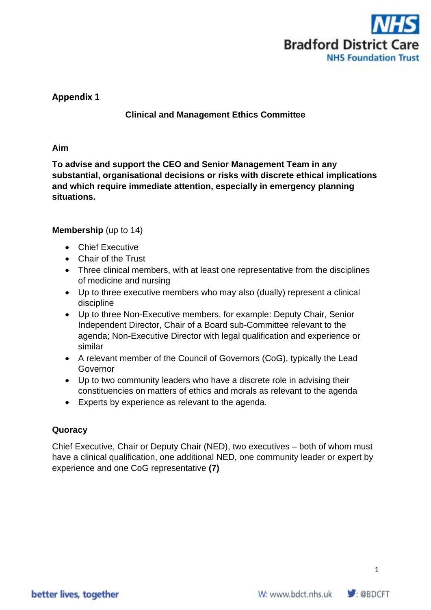

# **Appendix 1**

## **Clinical and Management Ethics Committee**

#### **Aim**

**To advise and support the CEO and Senior Management Team in any substantial, organisational decisions or risks with discrete ethical implications and which require immediate attention, especially in emergency planning situations.** 

### **Membership** (up to 14)

- Chief Executive
- Chair of the Trust
- Three clinical members, with at least one representative from the disciplines of medicine and nursing
- Up to three executive members who may also (dually) represent a clinical discipline
- Up to three Non-Executive members, for example: Deputy Chair, Senior Independent Director, Chair of a Board sub-Committee relevant to the agenda; Non-Executive Director with legal qualification and experience or similar
- A relevant member of the Council of Governors (CoG), typically the Lead Governor
- Up to two community leaders who have a discrete role in advising their constituencies on matters of ethics and morals as relevant to the agenda
- Experts by experience as relevant to the agenda.

### **Quoracy**

Chief Executive, Chair or Deputy Chair (NED), two executives – both of whom must have a clinical qualification, one additional NED, one community leader or expert by experience and one CoG representative **(7)**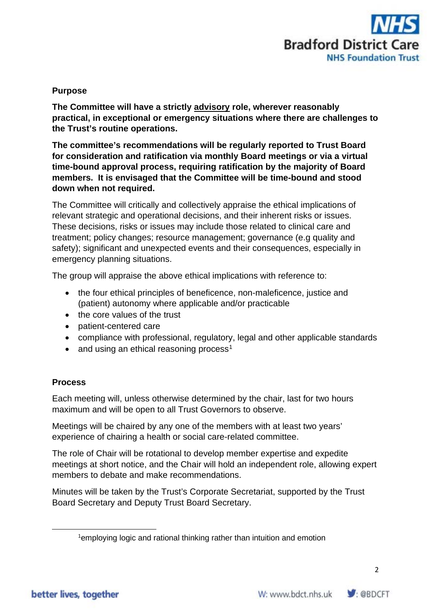

### **Purpose**

**The Committee will have a strictly advisory role, wherever reasonably practical, in exceptional or emergency situations where there are challenges to the Trust's routine operations.** 

**The committee's recommendations will be regularly reported to Trust Board for consideration and ratification via monthly Board meetings or via a virtual time-bound approval process, requiring ratification by the majority of Board members. It is envisaged that the Committee will be time-bound and stood down when not required.**

The Committee will critically and collectively appraise the ethical implications of relevant strategic and operational decisions, and their inherent risks or issues. These decisions, risks or issues may include those related to clinical care and treatment; policy changes; resource management; governance (e.g quality and safety); significant and unexpected events and their consequences, especially in emergency planning situations.

The group will appraise the above ethical implications with reference to:

- the four ethical principles of beneficence, non-maleficence, justice and (patient) autonomy where applicable and/or practicable
- the core values of the trust
- patient-centered care
- compliance with professional, regulatory, legal and other applicable standards
- and using an ethical reasoning process<sup>[1](#page-1-0)</sup>

### **Process**

Each meeting will, unless otherwise determined by the chair, last for two hours maximum and will be open to all Trust Governors to observe.

Meetings will be chaired by any one of the members with at least two years' experience of chairing a health or social care-related committee.

The role of Chair will be rotational to develop member expertise and expedite meetings at short notice, and the Chair will hold an independent role, allowing expert members to debate and make recommendations.

<span id="page-1-0"></span>Minutes will be taken by the Trust's Corporate Secretariat, supported by the Trust Board Secretary and Deputy Trust Board Secretary.



<sup>&</sup>lt;sup>1</sup>employing logic and rational thinking rather than intuition and emotion